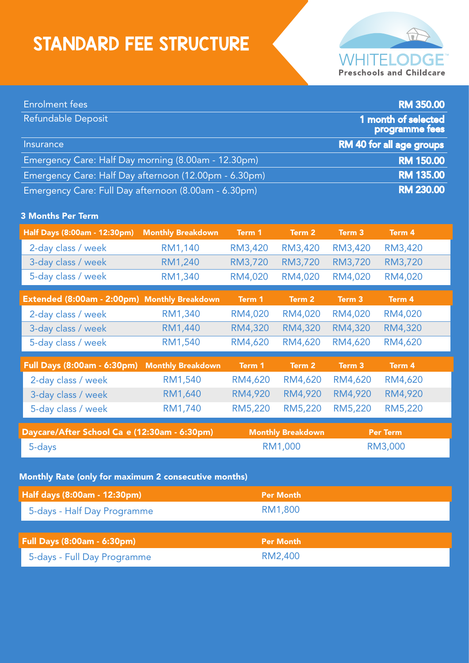## STANDARD FEE STRUCTURE



| <b>Enrolment fees</b>                                 |                          |                             |         |                 | <b>RM 350.00</b>                      |
|-------------------------------------------------------|--------------------------|-----------------------------|---------|-----------------|---------------------------------------|
| Refundable Deposit                                    |                          |                             |         |                 | 1 month of selected<br>programme fees |
| RM 40 for all age groups<br><b>Insurance</b>          |                          |                             |         |                 |                                       |
| Emergency Care: Half Day morning (8.00am - 12.30pm)   |                          |                             |         |                 | <b>RM 150.00</b>                      |
| Emergency Care: Half Day afternoon (12.00pm - 6.30pm) |                          |                             |         |                 | <b>RM 135.00</b>                      |
| Emergency Care: Full Day afternoon (8.00am - 6.30pm)  |                          |                             |         |                 | <b>RM 230.00</b>                      |
| <b>3 Months Per Term</b>                              |                          |                             |         |                 |                                       |
| Half Days (8:00am - 12:30pm)                          | <b>Monthly Breakdown</b> | Term 1                      | Term 2  | Term 3          | Term 4                                |
| 2-day class / week                                    | RM1,140                  | RM3,420                     | RM3,420 | RM3,420         | RM3,420                               |
| 3-day class / week                                    | RM1,240                  | RM3,720                     | RM3,720 | RM3,720         | RM3,720                               |
| 5-day class / week                                    | RM1,340                  | RM4,020                     | RM4,020 | RM4,020         | RM4,020                               |
| Extended (8:00am - 2:00pm) Monthly Breakdown          |                          | Term 1                      | Term 2  | Term 3          | Term 4                                |
| 2-day class / week                                    | RM1,340                  | RM4,020                     | RM4,020 | RM4,020         | RM4,020                               |
| 3-day class / week                                    | RM1,440                  | RM4,320                     | RM4,320 | RM4,320         | RM4,320                               |
| 5-day class / week                                    | RM1,540                  | RM4,620                     | RM4,620 | RM4,620         | RM4,620                               |
| <b>Full Days (8:00am - 6:30pm)</b>                    | <b>Monthly Breakdown</b> | Term 1                      | Term 2  | Term 3          | Term 4                                |
| 2-day class / week                                    | RM1,540                  | RM4,620                     | RM4,620 | RM4,620         | RM4,620                               |
| 3-day class / week                                    | RM1,640                  | RM4,920                     | RM4,920 | RM4,920         | RM4,920                               |
| 5-day class / week                                    | RM1,740                  | RM5,220                     | RM5,220 | RM5,220         | RM5,220                               |
| Daycare/After School Ca e (12:30am - 6:30pm)          |                          | <b>Monthly Breakdown</b>    |         | <b>Per Term</b> |                                       |
| 5-days                                                |                          | RM1,000                     |         | RM3,000         |                                       |
|                                                       |                          |                             |         |                 |                                       |
| Monthly Rate (only for maximum 2 consecutive months)  |                          |                             |         |                 |                                       |
| Half days (8:00am - 12:30pm)                          |                          | <b>Per Month</b>            |         |                 |                                       |
| 5-days - Half Day Programme                           |                          | RM1,800                     |         |                 |                                       |
| <b>Full Days (8:00am - 6:30pm)</b>                    |                          |                             |         |                 |                                       |
|                                                       |                          | <b>Per Month</b><br>RM2,400 |         |                 |                                       |
| 5-days - Full Day Programme                           |                          |                             |         |                 |                                       |